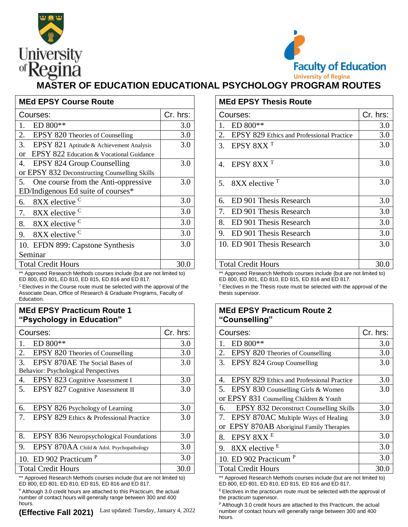



## **MASTER OF EDUCATION EDUCATIONAL PSYCHOLOGY PROGRAM ROUTES**

| <b>MEd EPSY Course Route</b>                   |          | <b>MEd EPSY Thesis Route</b>              |          |  |
|------------------------------------------------|----------|-------------------------------------------|----------|--|
| Courses:                                       | Cr. hrs: | Courses:                                  | Cr. hrs: |  |
| $ED 800**$                                     | 3.0      | $ED 800**$                                | 3.0      |  |
| 2.<br>EPSY 820 Theories of Counselling         | 3.0      | EPSY 829 Ethics and Professional Practice | 3.0      |  |
| 3.<br>EPSY 821 Aptitude & Achievement Analysis | 3.0      | 3. EPSY $8XXT$                            | 3.0      |  |
| EPSY 822 Education & Vocational Guidance<br>or |          |                                           |          |  |
| EPSY 824 Group Counselling<br>4.               | 3.0      | 4. EPSY $8XXT$                            | 3.0      |  |
| or EPSY 832 Deconstructing Counselling Skills  |          |                                           |          |  |
| 5. One course from the Anti-oppressive         | 3.0      | $8XX$ elective $T$<br>5 <sub>1</sub>      | 3.0      |  |
| ED/Indigenous Ed suite of courses*             |          |                                           |          |  |
| 8XX elective <sup>C</sup><br>6.                | 3.0      | ED 901 Thesis Research<br>б.              | 3.0      |  |
| 8XX elective <sup>C</sup><br>7.                | 3.0      | ED 901 Thesis Research                    | 3.0      |  |
| 8XX elective <sup>C</sup><br>8.                | 3.0      | ED 901 Thesis Research<br>8.              | 3.0      |  |
| 8XX elective <sup>C</sup><br>9.                | 3.0      | 9. ED 901 Thesis Research                 | 3.0      |  |
| 10. EFDN 899: Capstone Synthesis               | 3.0      | 10. ED 901 Thesis Research                | 3.0      |  |
| Seminar                                        |          |                                           |          |  |
| <b>Total Credit Hours</b>                      | 30.0     | <b>Total Credit Hours</b>                 | 30.0     |  |

Approved Research Methods courses include (but are not limited to) ED 800, ED 801, ED 810, ED 815, ED 816 and ED 817.

<sup>C</sup>Electives in the Course route must be selected with the approval of the Associate Dean, Office of Research & Graduate Programs, Faculty of Education.

## **MEd EPSY Practicum Route 1 "Psychology in Education"**

| Courses:                                                                                           | Cr. hrs: | Courses:                                                                                | Cr. hrs: |
|----------------------------------------------------------------------------------------------------|----------|-----------------------------------------------------------------------------------------|----------|
| ED 800**                                                                                           | 3.0      | ED 800**                                                                                | 3.0      |
| 2.<br>EPSY 820 Theories of Counselling                                                             | 3.0      | EPSY 820 Theories of Counselling<br>2.                                                  | 3.0      |
| 3.<br>EPSY 870AE The Social Bases of<br>Behavior: Psychological Perspectives                       | 3.0      | 3. EPSY 824 Group Counselling                                                           | 3.0      |
| EPSY 823 Cognitive Assessment I<br>4.                                                              | 3.0      | EPSY 829 Ethics and Professional Practice<br>4.                                         | 3.0      |
| EPSY 827 Cognitive Assessment II<br>5.                                                             | 3.0      | 5. EPSY 830 Counselling Girls & Women                                                   | 3.0      |
|                                                                                                    |          | or EPSY 831 Counselling Children & Youth                                                |          |
| EPSY 826 Psychology of Learning<br>6.                                                              | 3.0      | EPSY 832 Deconstruct Counselling Skills<br>6.                                           | 3.0      |
| EPSY 829 Ethics & Professional Practice                                                            | 3.0      | 7. EPSY 870AC Multiple Ways of Healing                                                  | 3.0      |
|                                                                                                    |          | or EPSY 870AB Aboriginal Family Therapies                                               |          |
| 8.<br>EPSY 836 Neuropsychological Foundations                                                      | 3.0      | EPSY 8XX <sup>E</sup><br>8.                                                             | 3.0      |
| 9.<br>EPSY 870AA Child & Adol. Psychopathology                                                     | 3.0      | 9. 8XX elective $E$                                                                     | 3.0      |
| 10. ED 902 Practicum <sup>P</sup>                                                                  | 3.0      | 10. ED 902 Practicum <sup>P</sup>                                                       | 3.0      |
| <b>Total Credit Hours</b>                                                                          | 30.0     | <b>Total Credit Hours</b>                                                               | 30.0     |
| 44. A concert of Financial College Martin and a concert of the field of the concert front of the N |          | 44. A concerted the concerted additional concerted to death and concert the traditional |          |

Approved Research Methods courses include (but are not limited to) ED 800, ED 801, ED 810, ED 815, ED 816 and ED 817.

P Although 3.0 credit hours are attached to this Practicum, the actual number of contact hours will generally range between 300 and 400 hours.

|                  | <b>MEd EPSY Thesis Route</b>                    |          |
|------------------|-------------------------------------------------|----------|
| IS:              | Courses:                                        | Cr. hrs: |
| 3.0              | ED 800**                                        | 3.0      |
| $\overline{3.0}$ | 2.<br>EPSY 829 Ethics and Professional Practice | 3.0      |
| $\overline{3.0}$ | EPSY 8XX <sup>T</sup><br>3.                     | 3.0      |
| 3.0              | EPSY 8XX <sup>T</sup><br>4.                     | 3.0      |
| 3.0              | 8XX elective <sup>T</sup><br>5.                 | 3.0      |
| 3.0              | ED 901 Thesis Research<br>б.                    | 3.0      |
| 3.0              | ED 901 Thesis Research<br>7.                    | 3.0      |
| 3.0              | ED 901 Thesis Research<br>8.                    | 3.0      |
| $\overline{3.0}$ | ED 901 Thesis Research<br>9.                    | 3.0      |
| 3.0              | 10. ED 901 Thesis Research                      | 3.0      |
| 0.0              | <b>Total Credit Hours</b>                       | 30.0     |

\*\* Approved Research Methods courses include (but are not limited to) ED 800, ED 801, ED 810, ED 815, ED 816 and ED 817.

 $T$  Electives in the Thesis route must be selected with the approval of the thesis supervisor.

## **MEd EPSY Practicum Route 2 "Counselling"**

| rs:              | Courses:                                        | Cr. hrs: |
|------------------|-------------------------------------------------|----------|
| 3.0              | ED 800**                                        | 3.0      |
| 3.0              | EPSY 820 Theories of Counselling<br>2.          | 3.0      |
| $\overline{3.0}$ | 3.<br>EPSY 824 Group Counselling                | 3.0      |
|                  |                                                 |          |
| 3.0              | EPSY 829 Ethics and Professional Practice<br>4. | 3.0      |
| $\overline{3.0}$ | 5. EPSY 830 Counselling Girls & Women           | 3.0      |
|                  | or EPSY 831 Counselling Children & Youth        |          |
| 3.0              | EPSY 832 Deconstruct Counselling Skills<br>6.   | 3.0      |
| $\overline{3.0}$ | EPSY 870AC Multiple Ways of Healing<br>7.       | 3.0      |
|                  | or EPSY 870AB Aboriginal Family Therapies       |          |
| 3.0              | EPSY 8XX <sup>E</sup><br>8.                     | 3.0      |
| $\overline{3.0}$ | 8XX elective <sup>E</sup><br>9.                 | 3.0      |
| 3.0              | 10. ED 902 Practicum <sup>P</sup>               | 3.0      |
| $\overline{0.0}$ | <b>Total Credit Hours</b>                       | 30.0     |

\*\* Approved Research Methods courses include (but are not limited to) ED 800, ED 801, ED 810, ED 815, ED 816 and ED 817.

 $E$  Electives in the practicum route must be selected with the approval of the practicum supervisor.

 $P$  Although 3.0 credit hours are attached to this Practicum, the actual number of contact hours will generally range between 300 and 400 hours.